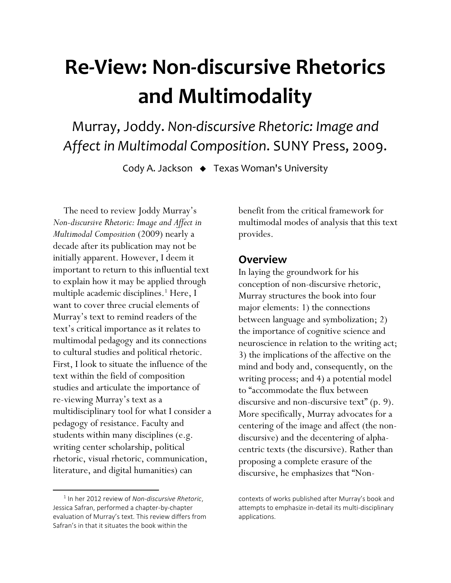# **Re-View: Non-discursive Rhetorics and Multimodality**

Murray, Joddy. *Non-discursive Rhetoric: Image and Affect in Multimodal Composition*. SUNY Press, 2009.

Cody A. Jackson ♦ Texas Woman's University

The need to review Joddy Murray's *Non-discursive Rhetoric: Image and Affect in Multimodal Composition* (2009) nearly a decade after its publication may not be initially apparent. However, I deem it important to return to this influential text to explain how it may be applied through multiple academic disciplines.<sup>1</sup> Here, I want to cover three crucial elements of Murray's text to remind readers of the text's critical importance as it relates to multimodal pedagogy and its connections to cultural studies and political rhetoric. First, I look to situate the influence of the text within the field of composition studies and articulate the importance of re-viewing Murray's text as a multidisciplinary tool for what I consider a pedagogy of resistance. Faculty and students within many disciplines (e.g. writing center scholarship, political rhetoric, visual rhetoric, communication, literature, and digital humanities) can

l

benefit from the critical framework for multimodal modes of analysis that this text provides.

## **Overview**

In laying the groundwork for his conception of non-discursive rhetoric, Murray structures the book into four major elements: 1) the connections between language and symbolization; 2) the importance of cognitive science and neuroscience in relation to the writing act; 3) the implications of the affective on the mind and body and, consequently, on the writing process; and 4) a potential model to "accommodate the flux between discursive and non-discursive text" (p. 9). More specifically, Murray advocates for a centering of the image and affect (the nondiscursive) and the decentering of alphacentric texts (the discursive). Rather than proposing a complete erasure of the discursive, he emphasizes that "Non-

<sup>1</sup> In her 2012 review of *Non-discursive Rhetoric*, Jessica Safran, performed a chapter-by-chapter evaluation of Murray's text. This review differs from Safran's in that it situates the book within the

contexts of works published after Murray's book and attempts to emphasize in-detail its multi-disciplinary applications.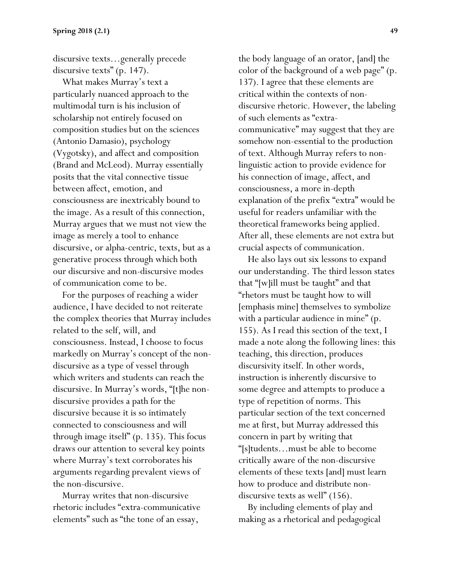discursive texts…generally precede discursive texts" (p. 147).

 What makes Murray's text a particularly nuanced approach to the multimodal turn is his inclusion of scholarship not entirely focused on composition studies but on the sciences (Antonio Damasio), psychology (Vygotsky), and affect and composition (Brand and McLeod). Murray essentially posits that the vital connective tissue between affect, emotion, and consciousness are inextricably bound to the image. As a result of this connection, Murray argues that we must not view the image as merely a tool to enhance discursive, or alpha-centric, texts, but as a generative process through which both our discursive and non-discursive modes of communication come to be.

 For the purposes of reaching a wider audience, I have decided to not reiterate the complex theories that Murray includes related to the self, will, and consciousness. Instead, I choose to focus markedly on Murray's concept of the nondiscursive as a type of vessel through which writers and students can reach the discursive. In Murray's words, "[t]he nondiscursive provides a path for the discursive because it is so intimately connected to consciousness and will through image itself" (p. 135). This focus draws our attention to several key points where Murray's text corroborates his arguments regarding prevalent views of the non-discursive.

 Murray writes that non-discursive rhetoric includes "extra-communicative elements" such as "the tone of an essay,

the body language of an orator, [and] the color of the background of a web page" (p. 137). I agree that these elements are critical within the contexts of nondiscursive rhetoric. However, the labeling of such elements as "extracommunicative" may suggest that they are somehow non-essential to the production of text. Although Murray refers to nonlinguistic action to provide evidence for his connection of image, affect, and consciousness, a more in-depth explanation of the prefix "extra" would be useful for readers unfamiliar with the theoretical frameworks being applied. After all, these elements are not extra but crucial aspects of communication.

 He also lays out six lessons to expand our understanding. The third lesson states that "[w]ill must be taught" and that "rhetors must be taught how to will [emphasis mine] themselves to symbolize with a particular audience in mine" (p. 155). As I read this section of the text, I made a note along the following lines: this teaching, this direction, produces discursivity itself. In other words, instruction is inherently discursive to some degree and attempts to produce a type of repetition of norms. This particular section of the text concerned me at first, but Murray addressed this concern in part by writing that "[s]tudents…must be able to become critically aware of the non-discursive elements of these texts [and] must learn how to produce and distribute nondiscursive texts as well" (156).

 By including elements of play and making as a rhetorical and pedagogical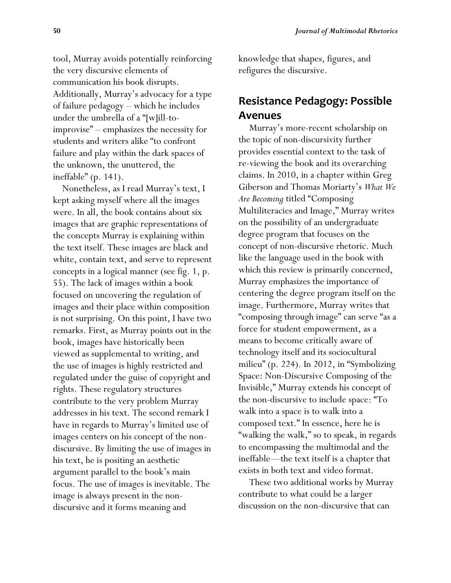tool, Murray avoids potentially reinforcing the very discursive elements of communication his book disrupts. Additionally, Murray's advocacy for a type of failure pedagogy – which he includes under the umbrella of a "[w]ill-toimprovise" – emphasizes the necessity for students and writers alike "to confront failure and play within the dark spaces of the unknown, the unuttered, the ineffable" (p. 141).

 Nonetheless, as I read Murray's text, I kept asking myself where all the images were. In all, the book contains about six images that are graphic representations of the concepts Murray is explaining within the text itself. These images are black and white, contain text, and serve to represent concepts in a logical manner (see fig. 1, p. 55). The lack of images within a book focused on uncovering the regulation of images and their place within composition is not surprising. On this point, I have two remarks. First, as Murray points out in the book, images have historically been viewed as supplemental to writing, and the use of images is highly restricted and regulated under the guise of copyright and rights. These regulatory structures contribute to the very problem Murray addresses in his text. The second remark I have in regards to Murray's limited use of images centers on his concept of the nondiscursive. By limiting the use of images in his text, he is positing an aesthetic argument parallel to the book's main focus. The use of images is inevitable. The image is always present in the nondiscursive and it forms meaning and

knowledge that shapes, figures, and refigures the discursive.

# **Resistance Pedagogy: Possible Avenues**

Murray's more-recent scholarship on the topic of non-discursivity further provides essential context to the task of re-viewing the book and its overarching claims. In 2010, in a chapter within Greg Giberson and Thomas Moriarty's *What We Are Becoming* titled "Composing Multiliteracies and Image," Murray writes on the possibility of an undergraduate degree program that focuses on the concept of non-discursive rhetoric. Much like the language used in the book with which this review is primarily concerned, Murray emphasizes the importance of centering the degree program itself on the image. Furthermore, Murray writes that "composing through image" can serve "as a force for student empowerment, as a means to become critically aware of technology itself and its sociocultural milieu" (p. 224). In 2012, in "Symbolizing Space: Non-Discursive Composing of the Invisible," Murray extends his concept of the non-discursive to include space: "To walk into a space is to walk into a composed text." In essence, here he is "walking the walk," so to speak, in regards to encompassing the multimodal and the ineffable—the text itself is a chapter that exists in both text and video format.

These two additional works by Murray contribute to what could be a larger discussion on the non-discursive that can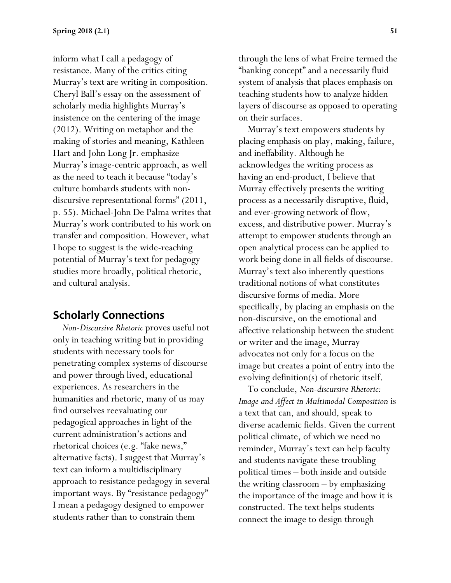inform what I call a pedagogy of resistance. Many of the critics citing Murray's text are writing in composition. Cheryl Ball's essay on the assessment of scholarly media highlights Murray's insistence on the centering of the image (2012). Writing on metaphor and the making of stories and meaning, Kathleen Hart and John Long Jr. emphasize Murray's image-centric approach, as well as the need to teach it because "today's culture bombards students with nondiscursive representational forms" (2011, p. 55). Michael-John De Palma writes that Murray's work contributed to his work on transfer and composition. However, what I hope to suggest is the wide-reaching potential of Murray's text for pedagogy studies more broadly, political rhetoric, and cultural analysis.

### **Scholarly Connections**

 *Non-Discursive Rhetoric* proves useful not only in teaching writing but in providing students with necessary tools for penetrating complex systems of discourse and power through lived, educational experiences. As researchers in the humanities and rhetoric, many of us may find ourselves reevaluating our pedagogical approaches in light of the current administration's actions and rhetorical choices (e.g. "fake news," alternative facts). I suggest that Murray's text can inform a multidisciplinary approach to resistance pedagogy in several important ways. By "resistance pedagogy" I mean a pedagogy designed to empower students rather than to constrain them

through the lens of what Freire termed the "banking concept" and a necessarily fluid system of analysis that places emphasis on teaching students how to analyze hidden layers of discourse as opposed to operating on their surfaces.

 Murray's text empowers students by placing emphasis on play, making, failure, and ineffability. Although he acknowledges the writing process as having an end-product, I believe that Murray effectively presents the writing process as a necessarily disruptive, fluid, and ever-growing network of flow, excess, and distributive power. Murray's attempt to empower students through an open analytical process can be applied to work being done in all fields of discourse. Murray's text also inherently questions traditional notions of what constitutes discursive forms of media. More specifically, by placing an emphasis on the non-discursive, on the emotional and affective relationship between the student or writer and the image, Murray advocates not only for a focus on the image but creates a point of entry into the evolving definition(s) of rhetoric itself.

 To conclude, *Non-discursive Rhetoric: Image and Affect in Multimodal Composition* is a text that can, and should, speak to diverse academic fields. Given the current political climate, of which we need no reminder, Murray's text can help faculty and students navigate these troubling political times – both inside and outside the writing classroom – by emphasizing the importance of the image and how it is constructed. The text helps students connect the image to design through